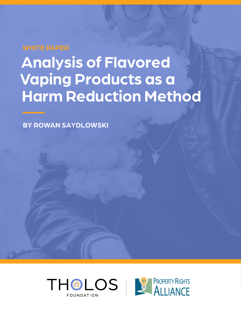# **Analysis of Flavored Vaping Products as a Harm Reduction Method**

**BY ROWAN SAYDLOWSKI**



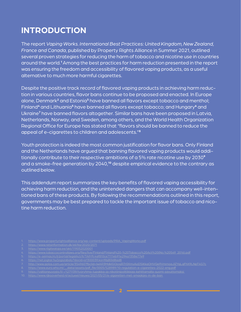### **INTRODUCTION**

The report *Vaping Works. International Best Practices: United Kingdom, New Zealand, France and Canada*, published by Property Rights Alliance in Summer 2021, outlined several proven strategies for reducing the harm of tobacco and nicotine use in countries around the world.**1**Among the best practices for harm reduction presented in the report was ensuring the freedom and accessibility of flavored vaping products, as a useful alternative to much more harmful cigarettes.

Despite the positive track record of flavored vaping products in achieving harm reduction in various countries, flavor bans continue to be proposed and enacted. In Europe alone, Denmark**2** and Estonia**3** have banned all flavors except tobacco and menthol; Finland**4** and Lithuania**5** have banned all flavors except tobacco; and Hungary**6** and Ukraine**<sup>7</sup>** have banned flavors altogether. Similar bans have been proposed in Latvia, Netherlands, Norway, and Sweden, among others, and the World Health Organization Regional Office for Europe has stated that "flavors should be banned to reduce the appeal of e-cigarettes to children and adolescents."**<sup>8</sup>**

Youth protection is indeed the most common justification for flavor bans. Only Finland and the Netherlands have argued that banning flavored vaping products would additionally contribute to their respective ambitions of a 5% rate nicotine use by 2030**<sup>9</sup>** and a smoke-free generation by 2040,**10** despite empirical evidence to the contrary as outlined below.

This addendum report summarizes the key benefits of flavored vaping accessibility for achieving harm reduction, and the unintended dangers that can accompany well-intentioned bans of these products. By following the recommendations outlined in this report, governments may be best prepared to tackle the important issue of tobacco and nicotine harm reduction.

- [https://www.propertyrightsalliance.org/wp-content/uploads/PRA\\_VapingWorks.pdf](https://www.propertyrightsalliance.org/wp-content/uploads/PRA_VapingWorks.pdf)
- 2. <https://www.retsinformation.dk/eli/lta/2020/2071>
- <https://www.riigiteataja.ee/akt/119052020001>
- 4. [https://www.tobaccocontrollaws.org/files/live/Finland/Finland%20-%20Tobacco%20Act%20\(No.%20549\\_2016\).pdf](https://www.tobaccocontrollaws.org/files/live/Finland/Finland%20-%20Tobacco%20Act%20(No.%20549_2016).pdf)
- 
- 6. <https://net.jogtar.hu/jogszabaly?docid=a1300039.kor#lbj80id8ad8>
- 7. <http://www.golos.com.ua/article/354960?fbclid=IwAR3MdklGOjosjR7r0XmyAoD5iKkaOHVQe9VmrnoaJIZYqLqFhX9LNpT4G7c>
- 8. [https://www.euro.who.int/\\_\\_data/assets/pdf\\_file/0005/528989/10-regulation-e-cigarettes-2022-eng.pdf](https://www.euro.who.int/__data/assets/pdf_file/0005/528989/10-regulation-e-cigarettes-2022-eng.pdf)
- 9. [https://valtioneuvosto.fi/-/1271139/tyoryhma-tupakka-ja-nikotiinipolitiikkaa-kehittamalla-suomi-savuttomaksi](https://valtioneuvosto.fi/-/1271139/tyoryhma-tupakka-ja-nikotiinipolitiikkaa-kehittamalla-suomi-savu)
- 10. [https://www.rijksoverheid.nl/actueel/nieuws/2021/05/21/e-sigaretten-met-smaakjes-in-de-ban](https://www.rijksoverheid.nl/actueel/nieuws/2021/05/21/e-sigaretten-met-smaakjes-in-de-ban )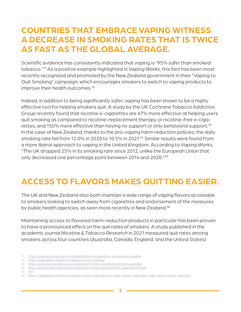### **COUNTRIES THAT EMBRACE VAPING WITNESS A DECREASE IN SMOKING RATES THAT IS TWICE AS FAST AS THE GLOBAL AVERAGE.**

Scientific evidence has consistently indicated that vaping is "95% safer than smoked tobacco."**11** As a positive example highlighted in *Vaping Works*, this fact has been most recently recognized and promoted by the New Zealand government in their "Vaping to Quit Smoking" campaign, which encourages smokers to switch to vaping products to improve their health outcomes.**<sup>12</sup>**

Indeed, in addition to being significantly safer, vaping has been shown to be a highly effective tool for helping smokers quit. A study by the UK Cochrane Tobacco Addiction Group recently found that nicotine e-cigarettes are 67% more effective at helping users quit smoking as compared to nicotine-replacement therapy or nicotine-free e-cigarettes, and 150% more effective than having no support or only behavioral support.**<sup>13</sup>** In the case of New Zealand, thanks to the pro-vaping harm reduction policies, the daily smoking rate fell from 12.0% in 2020 to 10.5% in 2021.**14** Similar results were found from a more liberal approach to vaping in the United Kingdom. According to *Vaping Works*, "The UK dropped 25% in its smoking rate since 2012, unlike the European Union that only decreased one percentage point between 2014 and 2020."**<sup>15</sup>**

## **ACCESS TO FLAVORS MAKES QUITTING EASIER.**

The UK and New Zealand also both maintain a wide range of vaping flavors accessible to smokers looking to switch away from cigarettes and endorsement of the measures by public health agencies, as seen more recently in New Zealand.**<sup>16</sup>**

Maintaining access to flavored harm-reduction products in particular has been proven to have a pronounced effect on the quit rates of smokers. A study published in the academic journal *Nicotine & Tobacco Research* in 2021 measured quit rates among smokers across four countries (Australia, Canada, England, and the United States)

- 11. <https://www.gov.uk/government/publications/e-cigarettes-an-evidence-update>
- 12. <https://vapingfacts.health.nz/vaping-to-quit-smoking/>
- 13. <https://www.cochranelibrary.com/cdsr/doi/10.1002/14651858.CD010216.pub4/full>
- 14. [https://www.propertyrightsalliance.org/wp-content/uploads/PRA\\_VapingWorks.pdf](https://www.propertyrightsalliance.org/wp-content/uploads/PRA_VapingWorks.pdf)
- 15. Ibid.

<sup>16.</sup> <https://vapingfacts.health.nz/vaping-to-quit-smoking/what-vape-should-i-get/what-vape-liquid-should-i-get.html>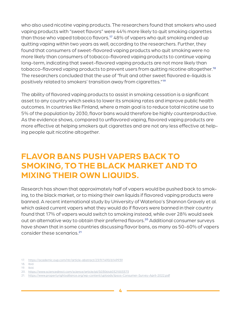who also used nicotine vaping products. The researchers found that smokers who used vaping products with "sweet flavors" were 44% more likely to quit smoking cigarettes than those who vaped tobacco flavors.**17** 48% of vapers who quit smoking ended up quitting vaping within two years as well, according to the researchers. Further, they found that consumers of sweet-flavored vaping products who quit smoking were no more likely than consumers of tobacco-flavored vaping products to continue vaping long-term, indicating that sweet-flavored vaping products are not more likely than tobacco-flavored vaping products to prevent users from quitting nicotine altogether.**<sup>18</sup>** The researchers concluded that the use of "fruit and other sweet flavored e-liquids is positively related to smokers' transition away from cigarettes."**<sup>19</sup>**

The ability of flavored vaping products to assist in smoking cessation is a significant asset to any country which seeks to lower its smoking rates and improve public health outcomes. In countries like Finland, where a main goal is to reduce total nicotine use to 5% of the population by 2030, flavor bans would therefore be highly counterproductive. As the evidence shows, compared to unflavored vaping, flavored vaping products are more effective at helping smokers quit cigarettes and are not any less effective at helping people quit nicotine altogether.

### **FLAVOR BANS PUSH VAPERS BACK TO SMOKING, TO THE BLACK MARKET AND TO MIXING THEIR OWN LIQUIDS.**

Research has shown that approximately half of vapers would be pushed back to smoking, to the black market, or to mixing their own liquids if flavored vaping products were banned. A recent international study by University of Waterloo's Shannon Gravely et al. which asked current vapers what they would do if flavors were banned in their country found that 17% of vapers would switch to smoking instead, while over 28% would seek out an alternative way to obtain their preferred flavors.**20** Additional consumer surveys have shown that in some countries discussing flavor bans, as many as 50-60% of vapers consider these scenarios.**<sup>21</sup>**

<sup>17.</sup> <https://academic.oup.com/ntr/article-abstract/23/9/1490/6149939>

<sup>18.</sup> Ibid.

<sup>19.</sup> Ibid.

<sup>20.</sup> <https://www.sciencedirect.com/science/article/pii/S0306460321003373>

<sup>21.</sup> <https://www.propertyrightsalliance.org/wp-content/uploads/Ipsos-Consumer-Survey-April-2022.pdf>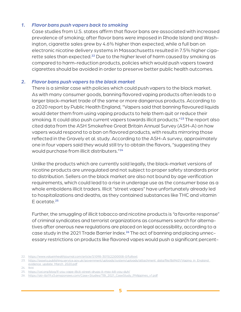#### *1. Flavor bans push vapers back to smoking*

Case studies from U.S. states affirm that flavor bans are associated with increased prevalence of smoking; after flavor bans were imposed in Rhode Island and Washington, cigarette sales grew by 4.6% higher than expected, while a full ban on electronic nicotine delivery systems in Massachusetts resulted in 7.5% higher cigarette sales than expected.**22** Due to the higher level of harm caused by smoking as compared to harm-reduction products, policies which would push vapers toward cigarettes should be avoided in order to preserve better public health outcomes.

#### *2. Flavor bans push vapers to the black market*

There is a similar case with policies which could push vapers to the black market. As with many consumer goods, banning flavored vaping products often leads to a larger black-market trade of the same or more dangerous products. According to a 2020 report by Public Health England, "Vapers said that banning flavoured liquids would deter them from using vaping products to help them quit or reduce their smoking. It could also push current vapers towards illicit products."**23** The report also cited data from the ASH Smokefree Great Britain Annual Survey (ASH-A) on how vapers would respond to a ban on flavored products, with results mirroring those reflected in the Gravely et al. study. According to the ASH-A survey, approximately one in four vapers said they would still try to obtain the flavors, "suggesting they would purchase from illicit distributers."**<sup>24</sup>**

Unlike the products which are currently sold legally, the black-market versions of nicotine products are unregulated and not subject to proper safety standards prior to distribution. Sellers on the black market are also not bound by age verification requirements, which could lead to a rise in underage use as the consumer base as a whole emboldens illicit traders. Illicit "street vapes" have unfortunately already led to hospitalizations and deaths, as they contained substances like THC and vitamin E acetate.**<sup>25</sup>**

Further, the smuggling of illicit tobacco and nicotine products is "a favorite response" of criminal syndicates and terrorist organizations as consumers search for alternatives after onerous new regulations are placed on legal accessibility, according to a case study in the 2021 Trade Barrier Index.**26** The act of banning and placing unnecessary restrictions on products like flavored vapes would push a significant percent-

<sup>22.</sup> [https://www.valueinhealthjournal.com/article/S1098-3015\(22\)00008-0/fulltext](https://www.valueinhealthjournal.com/article/S1098-3015(22)00008-0/fulltext)

<sup>23.</sup> [https://assets.publishing.service.gov.uk/government/uploads/system/uploads/attachment\\_data/file/869401/Vaping\\_in\\_England\\_](https://assets.publishing.service.gov.uk/government/uploads/system/uploads/attachment_data/file/869401/Vaping_in_England_evidence_update_March_2020.pdf) [evidence\\_update\\_March\\_2020.pdf](https://assets.publishing.service.gov.uk/government/uploads/system/uploads/attachment_data/file/869401/Vaping_in_England_evidence_update_March_2020.pdf)

<sup>24.</sup> Ibid.

<sup>25.</sup> <https://cei.org/blog/if-you-vape-illicit-street-drugs-it-may-kill-you-duh/>

<sup>26.</sup> [https://atr-tbi19.s3.amazonaws.com/Case+Studies/TBI\\_2021\\_CaseStudy\\_Philippines\\_v1.pdf](https://atr-tbi19.s3.amazonaws.com/Case+Studies/TBI_2021_CaseStudy_Philippines_v1.pdf)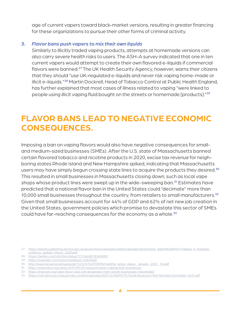age of current vapers toward black-market versions, resulting in greater financing for these organizations to pursue their other forms of criminal activity.

### *3. Flavor bans push vapers to mix their own liquids*

Similarly to illicitly traded vaping products, attempts at homemade versions can also carry severe health risks to users. The ASH-A survey indicated that one in ten current vapers would attempt to create their own flavored e-liquids if commercial flavors were banned.**27** The UK Health Security Agency, however, warns their citizens that they should "use UK-regulated e-liquids and never risk vaping home-made or illicit e-liquids."**28** Martin Dockrell, Head of Tobacco Control at Public Health England, has further explained that most cases of illness related to vaping "were linked to people using illicit vaping fluid bought on the streets or homemade [products]."**<sup>29</sup>**

### **FLAVOR BANS LEAD TO NEGATIVE ECONOMIC CONSEQUENCES.**

Imposing a ban on vaping flavors would also have negative consequences for smalland medium-sized businesses (SMEs). After the U.S. state of Massachusetts banned certain flavored tobacco and nicotine products in 2020, excise tax revenue for neighboring states Rhode Island and New Hampshire spiked, indicating that Massachusetts users may have simply begun crossing state lines to acquire the products they desired.**<sup>30</sup>** This resulted in small businesses in Massachusetts closing down, such as local vape shops whose product lines were swept up in the wide-sweeping ban.**31** Estimates have predicted that a national flavor ban in the United States could "decimate" more than 10,000 small businesses throughout the country, from retailers to small manufacturers.**<sup>32</sup>** Given that small businesses account for 44% of GDP and 62% of net new job creation in the United States, government policies which promise to devastate this sector of SMEs could have far-reaching consequences for the economy as a whole.**<sup>33</sup>**

27. [https://assets.publishing.service.gov.uk/government/uploads/system/uploads/attachment\\_data/file/869401/Vaping\\_in\\_England\\_](https://assets.publishing.service.gov.uk/government/uploads/system/uploads/attachment_data/file/869401/Vaping_in_England_evidence_update_March_2020.pdf) [evidence\\_update\\_March\\_2020.pdf](https://assets.publishing.service.gov.uk/government/uploads/system/uploads/attachment_data/file/869401/Vaping_in_England_evidence_update_March_2020.pdf)

- 28. <https://twitter.com/UKHSA/status/1172166081181605891>
- 29. <https://www.bbc.com/news/newsbeat-49649486>
- 30. [http://www.necsema.net/uploads/1/2/2/9/122970598/menthol\\_press\\_relese\\_\\_january\\_2021\\_\\_fnl.pdf](http://www.necsema.net/uploads/1/2/2/9/122970598/menthol_press_relese__january_2021__fnl.pdf)
- 31. <https://www.wbur.org/news/2019/09/25/massachusetts-vaping-ban-businesses>
- 32. <https://www.atr.org/vape-flavor-ban-will-devastate-main-street-businesses-nationwide/>

<sup>33.</sup> <https://cdn.advocacy.sba.gov/wp-content/uploads/2021/12/06095731/Small-Business-FAQ-Revised-December-2021.pdf>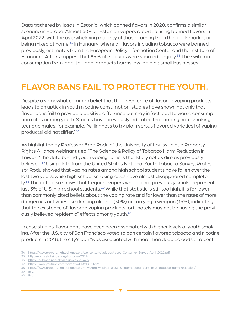Data gathered by Ipsos in Estonia, which banned flavors in 2020, confirms a similar scenario in Europe. Almost 60% of Estonian vapers reported using banned flavors in April 2022, with the overwhelming majority of those coming from the black market or being mixed at home.**34** In Hungary, where all flavors including tobacco were banned previously, estimates from the European Policy Information Center and the Institute of Economic Affairs suggest that 85% of e-liquids were sourced illegally.**35** The switch in consumption from legal to illegal products harms law-abiding small businesses.

### **FLAVOR BANS FAIL TO PROTECT THE YOUTH.**

Despite a somewhat common belief that the prevalence of flavored vaping products leads to an uptick in youth nicotine consumption, studies have shown not only that flavor bans fail to provide a positive difference but may in fact lead to worse consumption rates among youth. Studies have previously indicated that among non-smoking teenage males, for example, "willingness to try plain versus flavored varieties [of vaping products] did not differ."**<sup>36</sup>**

As highlighted by Professor Brad Rodu of the University of Louisville at a Property Rights Alliance webinar titled "The Science & Policy of Tobacco Harm Reduction in Taiwan," the data behind youth vaping rates is thankfully not as dire as previously believed.**37** Using data from the United States National Youth Tobacco Survey, Professor Rodu showed that vaping rates among high school students have fallen over the last two years, while high school smoking rates have almost disappeared completely.**38** The data also shows that frequent vapers who did not previously smoke represent just 3% of U.S. high school students.**39** While that statistic is still too high, it is far lower than commonly cited beliefs about the vaping rate and far lower than the rates of more dangerous activities like drinking alcohol (30%) or carrying a weapon (16%), indicating that the existence of flavored vaping products fortunately may not be having the previously believed "epidemic" effects among youth.**<sup>40</sup>**

In case studies, flavor bans have even been associated with higher levels of youth smoking. After the U.S. city of San Francisco voted to ban certain flavored tobacco and nicotine products in 2018, the city's ban "was associated with more than doubled odds of recent

<sup>34.</sup> <https://www.propertyrightsalliance.org/wp-content/uploads/Ipsos-Consumer-Survey-April-2022.pdf>

<sup>35.</sup> <http://nannystateindex.org/hungary-2021/>

<sup>36.</sup> <https://pubmed.ncbi.nlm.nih.gov/23332477/>

<sup>37.</sup> [https://www.youtube.com/watch?v=DMVLz\\_nTcVs](https://www.youtube.com/watch?v=DMVLz_nTcVs)

<sup>38.</sup> <https://www.propertyrightsalliance.org/news/pra-webinar-growing-international-consensus-tobacco-harm-reduction/>

<sup>39.</sup> Ibid.

<sup>40.</sup> Ibid.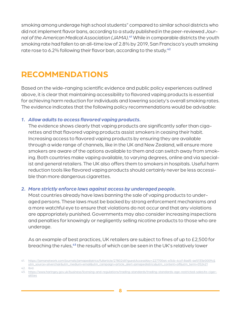smoking among underage high school students" compared to similar school districts who did not implement flavor bans, according to a study published in the peer-reviewed *Journal of the American Medical Association (JAMA)*. **<sup>41</sup>** While in comparable districts the youth smoking rate had fallen to an all-time low of 2.8% by 2019, San Francisco's youth smoking rate rose to 6.2% following their flavor ban, according to the study.**<sup>42</sup>**

### **RECOMMENDATIONS**

Based on the wide-ranging scientific evidence and public policy experiences outlined above, it is clear that maintaining accessibility to flavored vaping products is essential for achieving harm reduction for individuals and lowering society's overall smoking rates. The evidence indicates that the following policy recommendations would be advisable:

### *1. Allow adults to access flavored vaping products.*

The evidence shows clearly that vaping products are significantly safer than cigarettes and that flavored vaping products assist smokers in ceasing their habit. Increasing access to flavored vaping products by ensuring they are available through a wide range of channels, like in the UK and New Zealand, will ensure more smokers are aware of the options available to them and can switch away from smoking. Both countries make vaping available, to varying degrees, online and via specialist and general retailers. The UK also offers them to smokers in hospitals. Useful harm reduction tools like flavored vaping products should certainly never be less accessible than more dangerous cigarettes.

#### *2. More strictly enforce laws against access by underaged people.*

Most countries already have laws banning the sale of vaping products to underaged persons. These laws must be backed by strong enforcement mechanisms and a more watchful eye to ensure that violations do not occur and that any violations are appropriately punished. Governments may also consider increasing inspections and penalties for knowingly or negligently selling nicotine products to those who are underage.

As an example of best practices, UK retailers are subject to fines of up to £2,500 for breaching the rules,**43** the results of which can be seen in the UK's relatively lower

<sup>41.</sup> [https://jamanetwork.com/journals/jamapediatrics/fullarticle/2780248?guestAccessKey=227700a4-e3cb-4ccf-8ad5-ae5133e0009c&](https://jamanetwork.com/journals/jamapediatrics/fullarticle/2780248?guestAccessKey=227700a4-e3cb-4ccf-8ad5-ae5133e0009c&utm_source=silverchair&utm_medium=email&utm_campaign=article_alert-jamapediatrics&utm_content=olf&utm_term=052421) [utm\\_source=silverchair&utm\\_medium=email&utm\\_campaign=article\\_alert-jamapediatrics&utm\\_content=olf&utm\\_term=052421](https://jamanetwork.com/journals/jamapediatrics/fullarticle/2780248?guestAccessKey=227700a4-e3cb-4ccf-8ad5-ae5133e0009c&utm_source=silverchair&utm_medium=email&utm_campaign=article_alert-jamapediatrics&utm_content=olf&utm_term=052421)

<sup>42.</sup> Ibid.

<sup>43.</sup> [https://www.haringey.gov.uk/business/licensing-and-regulations/trading-standards/trading-standards-age-restricted-sales#e-ciger](https://www.haringey.gov.uk/business/licensing-and-regulations/trading-standards/trading-standards-age-restricted-sales#e-cigeratttes)[atttes](https://www.haringey.gov.uk/business/licensing-and-regulations/trading-standards/trading-standards-age-restricted-sales#e-cigeratttes)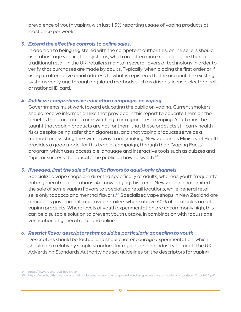prevalence of youth vaping, with just 1.5% reporting usage of vaping products at least once per week.

### *3. Extend the effective controls to online sales.*

In addition to being registered with the competent authorities, online sellers should use robust age verification systems, which are often more reliable online than in traditional retail. In the UK, retailers maintain several layers of technology in order to verify that purchases are made by adults. Typically, when placing the first order or if using an alternative email address to what is registered to the account, the existing systems verify age through regulated methods such as driver's license, electoral roll, or national ID card.

### *4. Publicize comprehensive education campaigns on vaping.*

Governments must work toward educating the public on vaping. Current smokers should receive information like that provided in this report to educate them on the benefits that can come from switching from cigarettes to vaping. Youth must be taught that vaping products are not for them, that these products still carry health risks despite being safer than cigarettes, and that vaping products serve as a method for assisting the switch away from smoking. New Zealand's Ministry of Health provides a good model for this type of campaign, through their "Vaping Facts" program, which uses accessible language and interactive tools such as quizzes and "tips for success" to educate the public on how to switch.**<sup>44</sup>**

### *5. If needed, limit the sale of specific flavors to adult-only channels.*

Specialized vape shops are directed specifically at adults, whereas youth frequently enter general retail locations. Acknowledging this trend, New Zealand has limited the sale of some vaping flavors to specialized retail locations, while general retail sells only tobacco and menthol flavors.**45** Specialized vape shops in New Zealand are defined as government-approved retailers where above 60% of total sales are of vaping products. Where levels of youth experimentation are uncommonly high, this can be a suitable solution to prevent youth uptake, in combination with robust age verification at general retail and online.

#### *6. Restrict flavor descriptors that could be particularly appealing to youth.*

Descriptors should be factual and should not encourage experimentation, which should be a relatively simple standard for regulators and industry to meet. The UK Advertising Standards Authority has set guidelines on the descriptors for vaping

<sup>44.</sup> <https://www.vapingfacts.health.nz/>

<sup>45.</sup> [https://www.health.govt.nz/system/files/documents/pages/vra-general\\_retailer-specialist-vape-retailer-comparison\\_12oct2020.pdf](https://www.health.govt.nz/system/files/documents/pages/vra-general_retailer-specialist-vape-retailer-comparison_12oct2020.pdf)